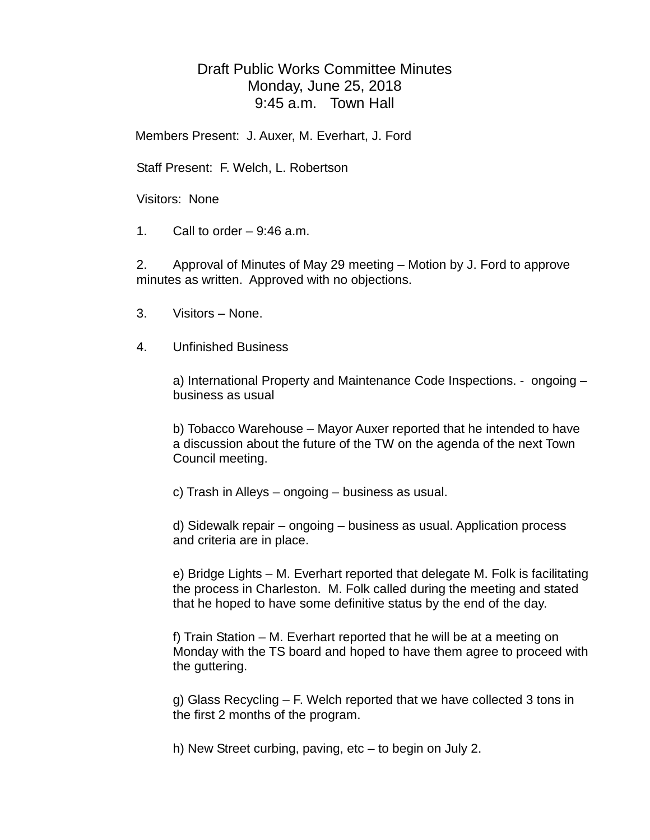## Draft Public Works Committee Minutes Monday, June 25, 2018 9:45 a.m. Town Hall

Members Present: J. Auxer, M. Everhart, J. Ford

Staff Present: F. Welch, L. Robertson

Visitors: None

1. Call to order  $-9:46$  a.m.

2. Approval of Minutes of May 29 meeting – Motion by J. Ford to approve minutes as written. Approved with no objections.

- 3. Visitors None.
- 4. Unfinished Business

a) International Property and Maintenance Code Inspections. - ongoing – business as usual

b) Tobacco Warehouse – Mayor Auxer reported that he intended to have a discussion about the future of the TW on the agenda of the next Town Council meeting.

c) Trash in Alleys – ongoing – business as usual.

d) Sidewalk repair – ongoing – business as usual. Application process and criteria are in place.

e) Bridge Lights – M. Everhart reported that delegate M. Folk is facilitating the process in Charleston. M. Folk called during the meeting and stated that he hoped to have some definitive status by the end of the day.

f) Train Station – M. Everhart reported that he will be at a meeting on Monday with the TS board and hoped to have them agree to proceed with the guttering.

g) Glass Recycling – F. Welch reported that we have collected 3 tons in the first 2 months of the program.

h) New Street curbing, paving, etc – to begin on July 2.